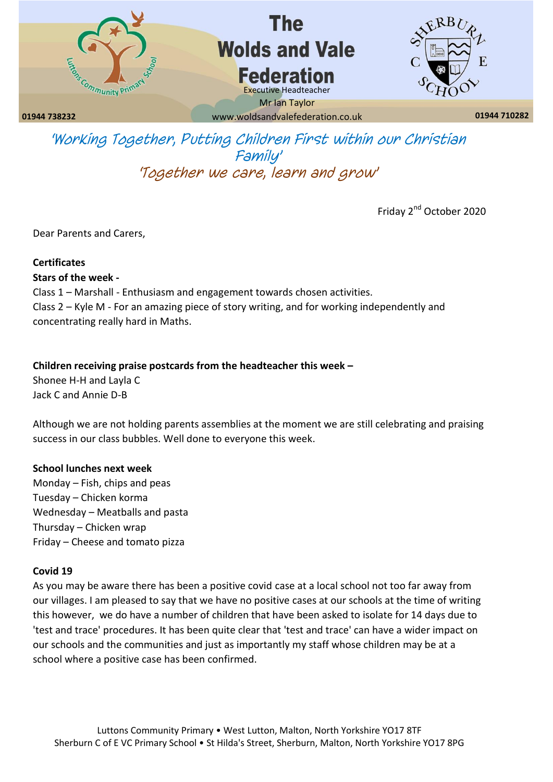

# The **Wolds and Vale Federation**



**01944 738232 01944 710282** www.woldsandvalefederation.co.uk Mr Ian Taylor

Executive Headteacher

*'Working Together, Putting Children First within our Christian Family' 'Together we care, learn and grow'*

Friday 2<sup>nd</sup> October 2020

Dear Parents and Carers,

## **Certificates**

## **Stars of the week -**

Class 1 – Marshall - Enthusiasm and engagement towards chosen activities. Class 2 – Kyle M - For an amazing piece of story writing, and for working independently and concentrating really hard in Maths.

## **Children receiving praise postcards from the headteacher this week –**

Shonee H-H and Layla C Jack C and Annie D-B

Although we are not holding parents assemblies at the moment we are still celebrating and praising success in our class bubbles. Well done to everyone this week.

## **School lunches next week**

Monday – Fish, chips and peas Tuesday – Chicken korma Wednesday – Meatballs and pasta Thursday – Chicken wrap Friday – Cheese and tomato pizza

## **Covid 19**

As you may be aware there has been a positive covid case at a local school not too far away from our villages. I am pleased to say that we have no positive cases at our schools at the time of writing this however, we do have a number of children that have been asked to isolate for 14 days due to 'test and trace' procedures. It has been quite clear that 'test and trace' can have a wider impact on our schools and the communities and just as importantly my staff whose children may be at a school where a positive case has been confirmed.